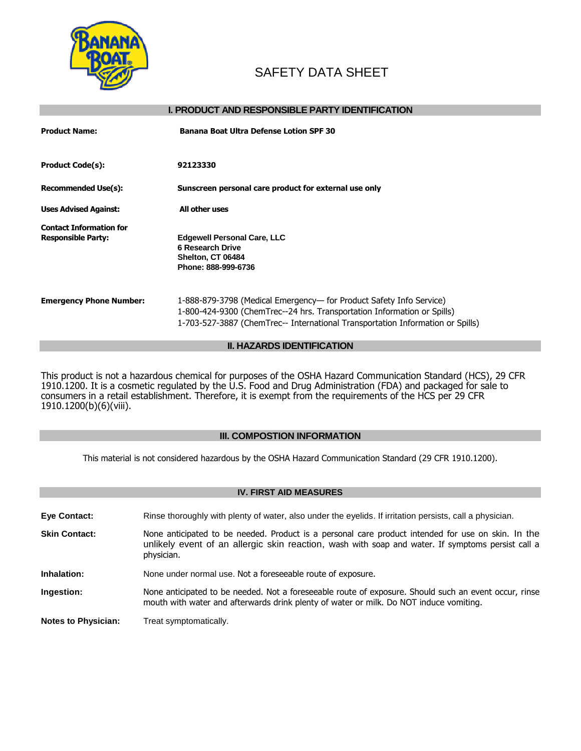

# SAFETY DATA SHEET

# **I. PRODUCT AND RESPONSIBLE PARTY IDENTIFICATION**

| <b>Product Name:</b>                                        | <b>Banana Boat Ultra Defense Lotion SPF 30</b>                                                                                                                                                                                   |
|-------------------------------------------------------------|----------------------------------------------------------------------------------------------------------------------------------------------------------------------------------------------------------------------------------|
| <b>Product Code(s):</b>                                     | 92123330                                                                                                                                                                                                                         |
| <b>Recommended Use(s):</b>                                  | Sunscreen personal care product for external use only                                                                                                                                                                            |
| <b>Uses Advised Against:</b>                                | All other uses                                                                                                                                                                                                                   |
| <b>Contact Information for</b><br><b>Responsible Party:</b> | <b>Edgewell Personal Care, LLC</b><br><b>6 Research Drive</b><br>Shelton, CT 06484<br>Phone: 888-999-6736                                                                                                                        |
| <b>Emergency Phone Number:</b>                              | 1-888-879-3798 (Medical Emergency— for Product Safety Info Service)<br>1-800-424-9300 (ChemTrec--24 hrs. Transportation Information or Spills)<br>1-703-527-3887 (ChemTrec-- International Transportation Information or Spills) |

# **II. HAZARDS IDENTIFICATION**

This product is not a hazardous chemical for purposes of the OSHA Hazard Communication Standard (HCS), 29 CFR 1910.1200. It is a cosmetic regulated by the U.S. Food and Drug Administration (FDA) and packaged for sale to consumers in a retail establishment. Therefore, it is exempt from the requirements of the HCS per 29 CFR 1910.1200(b)(6)(viii).

# **III. COMPOSTION INFORMATION**

This material is not considered hazardous by the OSHA Hazard Communication Standard (29 CFR 1910.1200).

| <b>IV. FIRST AID MEASURES</b> |                                                                                                                                                                                                                       |  |
|-------------------------------|-----------------------------------------------------------------------------------------------------------------------------------------------------------------------------------------------------------------------|--|
| Eye Contact:                  | Rinse thoroughly with plenty of water, also under the eyelids. If irritation persists, call a physician.                                                                                                              |  |
| <b>Skin Contact:</b>          | None anticipated to be needed. Product is a personal care product intended for use on skin. In the<br>unlikely event of an allergic skin reaction, wash with soap and water. If symptoms persist call a<br>physician. |  |
| Inhalation:                   | None under normal use. Not a foreseeable route of exposure.                                                                                                                                                           |  |
| Ingestion:                    | None anticipated to be needed. Not a foreseeable route of exposure. Should such an event occur, rinse<br>mouth with water and afterwards drink plenty of water or milk. Do NOT induce vomiting.                       |  |
| <b>Notes to Physician:</b>    | Treat symptomatically.                                                                                                                                                                                                |  |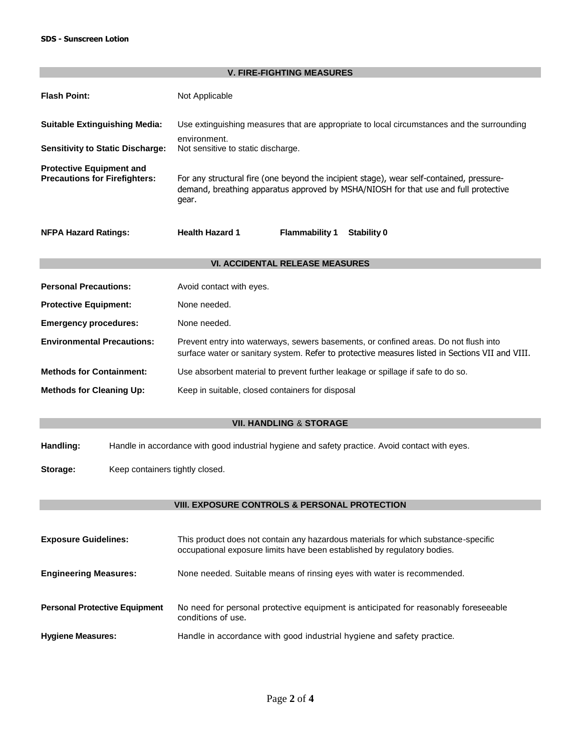| <b>V. FIRE-FIGHTING MEASURES</b>                                        |                                                                                                                                                                                          |  |  |  |
|-------------------------------------------------------------------------|------------------------------------------------------------------------------------------------------------------------------------------------------------------------------------------|--|--|--|
| <b>Flash Point:</b>                                                     | Not Applicable                                                                                                                                                                           |  |  |  |
| <b>Suitable Extinguishing Media:</b>                                    | Use extinguishing measures that are appropriate to local circumstances and the surrounding                                                                                               |  |  |  |
| <b>Sensitivity to Static Discharge:</b>                                 | environment.<br>Not sensitive to static discharge.                                                                                                                                       |  |  |  |
| <b>Protective Equipment and</b><br><b>Precautions for Firefighters:</b> | For any structural fire (one beyond the incipient stage), wear self-contained, pressure-<br>demand, breathing apparatus approved by MSHA/NIOSH for that use and full protective<br>gear. |  |  |  |
| <b>NFPA Hazard Ratings:</b>                                             | <b>Health Hazard 1</b><br><b>Flammability 1</b><br><b>Stability 0</b>                                                                                                                    |  |  |  |
| <b>VI. ACCIDENTAL RELEASE MEASURES</b>                                  |                                                                                                                                                                                          |  |  |  |
|                                                                         |                                                                                                                                                                                          |  |  |  |
| <b>Personal Precautions:</b>                                            | Avoid contact with eyes.                                                                                                                                                                 |  |  |  |
| <b>Protective Equipment:</b>                                            | None needed.                                                                                                                                                                             |  |  |  |
| <b>Emergency procedures:</b>                                            | None needed.                                                                                                                                                                             |  |  |  |
| <b>Environmental Precautions:</b>                                       | Prevent entry into waterways, sewers basements, or confined areas. Do not flush into<br>surface water or sanitary system. Refer to protective measures listed in Sections VII and VIII.  |  |  |  |
| <b>Methods for Containment:</b>                                         | Use absorbent material to prevent further leakage or spillage if safe to do so.                                                                                                          |  |  |  |
| <b>Methods for Cleaning Up:</b>                                         | Keep in suitable, closed containers for disposal                                                                                                                                         |  |  |  |
|                                                                         | <b>VII. HANDLING &amp; STORAGE</b>                                                                                                                                                       |  |  |  |
|                                                                         |                                                                                                                                                                                          |  |  |  |
| Handling:                                                               | Handle in accordance with good industrial hygiene and safety practice. Avoid contact with eyes.                                                                                          |  |  |  |
| Keep containers tightly closed.<br>Storage:                             |                                                                                                                                                                                          |  |  |  |
|                                                                         |                                                                                                                                                                                          |  |  |  |
|                                                                         | VIII. EXPOSURE CONTROLS & PERSONAL PROTECTION                                                                                                                                            |  |  |  |
| <b>Exposure Guidelines:</b>                                             | This product does not contain any hazardous materials for which substance-specific<br>occupational exposure limits have been established by regulatory bodies.                           |  |  |  |
| <b>Engineering Measures:</b>                                            | None needed. Suitable means of rinsing eyes with water is recommended.                                                                                                                   |  |  |  |
| <b>Personal Protective Equipment</b>                                    | No need for personal protective equipment is anticipated for reasonably foreseeable<br>conditions of use.                                                                                |  |  |  |

Hygiene Measures: **Handle in accordance with good industrial hygiene and safety practice.**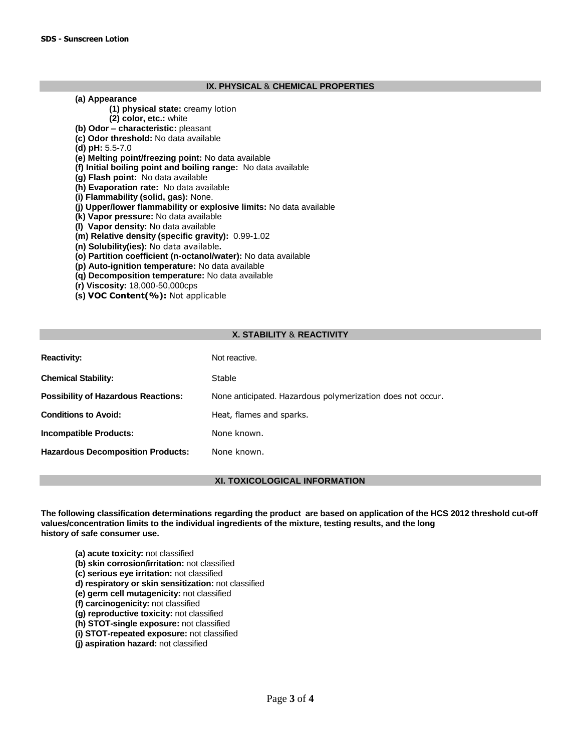# **IX. PHYSICAL** & **CHEMICAL PROPERTIES**

#### **(a) Appearance**

- **(1) physical state:** creamy lotion
- **(2) color, etc.:** white
- **(b) Odor – characteristic:** pleasant
- **(c) Odor threshold:** No data available
- **(d) pH:** 5.5-7.0
- **(e) Melting point/freezing point:** No data available
- **(f) Initial boiling point and boiling range:** No data available
- **(g) Flash point:** No data available
- **(h) Evaporation rate:** No data available
- **(i) Flammability (solid, gas):** None.
- **(j) Upper/lower flammability or explosive limits:** No data available
- **(k) Vapor pressure:** No data available
- **(l) Vapor density:** No data available
- **(m) Relative density (specific gravity):** 0.99-1.02
- **(n) Solubility(ies):** No data available**.**
- **(o) Partition coefficient (n-octanol/water):** No data available
- **(p) Auto-ignition temperature:** No data available
- **(q) Decomposition temperature:** No data available
- **(r) Viscosity:** 18,000-50,000cps
- **(s) VOC Content(%):** Not applicable

# **X. STABILITY** & **REACTIVITY**

| <b>Reactivity:</b>                         | Not reactive.                                              |
|--------------------------------------------|------------------------------------------------------------|
| <b>Chemical Stability:</b>                 | Stable                                                     |
| <b>Possibility of Hazardous Reactions:</b> | None anticipated. Hazardous polymerization does not occur. |
| <b>Conditions to Avoid:</b>                | Heat, flames and sparks.                                   |
| <b>Incompatible Products:</b>              | None known.                                                |
| <b>Hazardous Decomposition Products:</b>   | None known.                                                |

# **XI. TOXICOLOGICAL INFORMATION**

**The following classification determinations regarding the product are based on application of the HCS 2012 threshold cut-off values/concentration limits to the individual ingredients of the mixture, testing results, and the long history of safe consumer use.**

- **(a) acute toxicity:** not classified
- **(b) skin corrosion/irritation:** not classified
- **(c) serious eye irritation:** not classified
- **d) respiratory or skin sensitization:** not classified
- **(e) germ cell mutagenicity:** not classified
- **(f) carcinogenicity:** not classified
- **(g) reproductive toxicity:** not classified
- **(h) STOT-single exposure:** not classified
- **(i) STOT-repeated exposure:** not classified
- **(j) aspiration hazard:** not classified